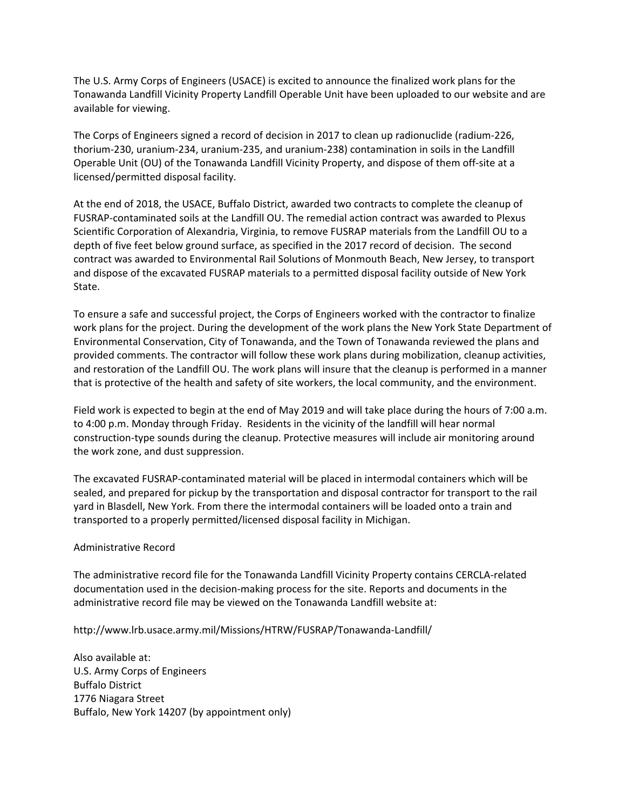The U.S. Army Corps of Engineers (USACE) is excited to announce the finalized work plans for the Tonawanda Landfill Vicinity Property Landfill Operable Unit have been uploaded to our website and are available for viewing.

The Corps of Engineers signed a record of decision in 2017 to clean up radionuclide (radium‐226, thorium‐230, uranium‐234, uranium‐235, and uranium‐238) contamination in soils in the Landfill Operable Unit (OU) of the Tonawanda Landfill Vicinity Property, and dispose of them off‐site at a licensed/permitted disposal facility.

At the end of 2018, the USACE, Buffalo District, awarded two contracts to complete the cleanup of FUSRAP‐contaminated soils at the Landfill OU. The remedial action contract was awarded to Plexus Scientific Corporation of Alexandria, Virginia, to remove FUSRAP materials from the Landfill OU to a depth of five feet below ground surface, as specified in the 2017 record of decision. The second contract was awarded to Environmental Rail Solutions of Monmouth Beach, New Jersey, to transport and dispose of the excavated FUSRAP materials to a permitted disposal facility outside of New York State.

To ensure a safe and successful project, the Corps of Engineers worked with the contractor to finalize work plans for the project. During the development of the work plans the New York State Department of Environmental Conservation, City of Tonawanda, and the Town of Tonawanda reviewed the plans and provided comments. The contractor will follow these work plans during mobilization, cleanup activities, and restoration of the Landfill OU. The work plans will insure that the cleanup is performed in a manner that is protective of the health and safety of site workers, the local community, and the environment.

Field work is expected to begin at the end of May 2019 and will take place during the hours of 7:00 a.m. to 4:00 p.m. Monday through Friday. Residents in the vicinity of the landfill will hear normal construction‐type sounds during the cleanup. Protective measures will include air monitoring around the work zone, and dust suppression.

The excavated FUSRAP‐contaminated material will be placed in intermodal containers which will be sealed, and prepared for pickup by the transportation and disposal contractor for transport to the rail yard in Blasdell, New York. From there the intermodal containers will be loaded onto a train and transported to a properly permitted/licensed disposal facility in Michigan.

## Administrative Record

The administrative record file for the Tonawanda Landfill Vicinity Property contains CERCLA‐related documentation used in the decision‐making process for the site. Reports and documents in the administrative record file may be viewed on the Tonawanda Landfill website at:

http://www.lrb.usace.army.mil/Missions/HTRW/FUSRAP/Tonawanda‐Landfill/

Also available at: U.S. Army Corps of Engineers Buffalo District 1776 Niagara Street Buffalo, New York 14207 (by appointment only)